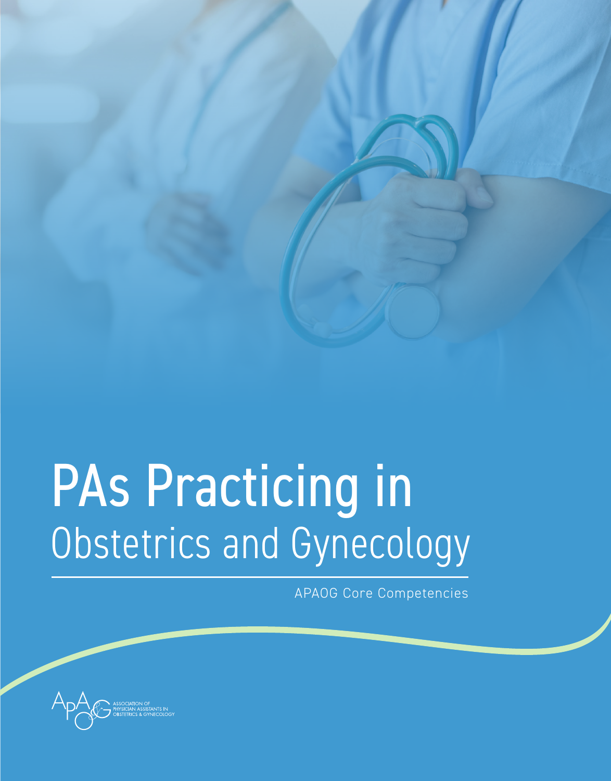

# PAs Practicing in Obstetrics and Gynecology

APAOG Core Competencies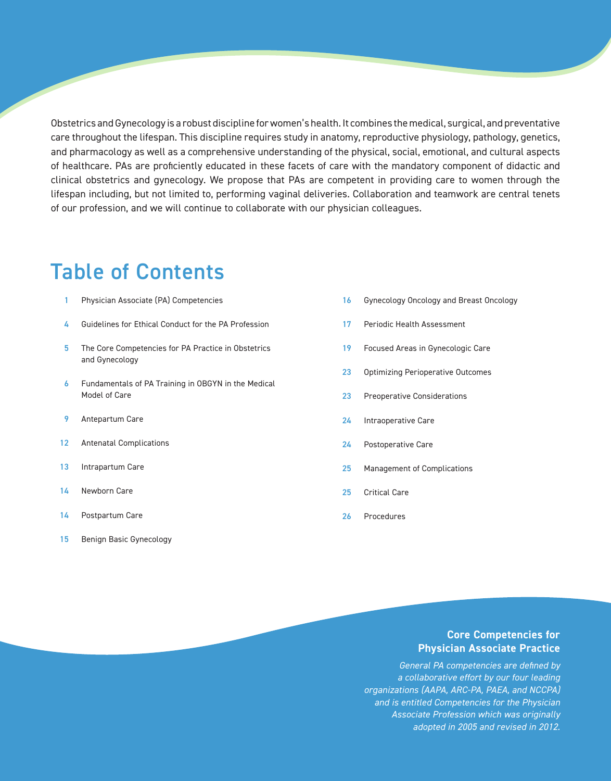Obstetrics and Gynecology is a robust discipline for women's health. It combines the medical, surgical, and preventative care throughout the lifespan. This discipline requires study in anatomy, reproductive physiology, pathology, genetics, and pharmacology as well as a comprehensive understanding of the physical, social, emotional, and cultural aspects of healthcare. PAs are proficiently educated in these facets of care with the mandatory component of didactic and clinical obstetrics and gynecology. We propose that PAs are competent in providing care to women through the lifespan including, but not limited to, performing vaginal deliveries. Collaboration and teamwork are central tenets of our profession, and we will continue to collaborate with our physician colleagues.

### Table of Contents

- 1 Physician Associate (PA) Competencies
- 4 Guidelines for Ethical Conduct for the PA Profession
- 5 The Core Competencies for PA Practice in Obstetrics and Gynecology
- 6 Fundamentals of PA Training in OBGYN in the Medical Model of Care
- 9 Antepartum Care
- 12 Antenatal Complications
- 13 Intrapartum Care
- 14 Newborn Care
- 14 Postpartum Care
- 15 Benign Basic Gynecology
- Gynecology Oncology and Breast Oncology 16
- Periodic Health Assessment 17
- Focused Areas in Gynecologic Care 19
- Optimizing Perioperative Outcomes 23
- Preoperative Considerations 23
- Intraoperative Care 24
- Postoperative Care 24
- Management of Complications 25
- Critical Care 25
- Procedures 26

#### **Core Competencies for Physician Associate Practice**

*General PA competencies are defined by a collaborative effort by our four leading organizations (AAPA, ARC-PA, PAEA, and NCCPA) and is entitled Competencies for the Physician Associate Profession which was originally adopted in 2005 and revised in 2012.*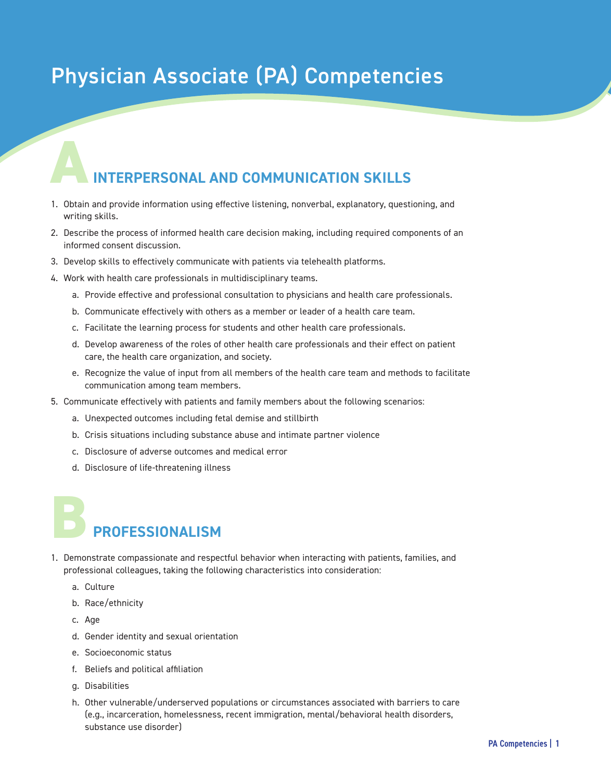### Physician Associate (PA) Competencies

# **INTERPERSONAL AND COMMUNICATION SKILLS A**

- 1. Obtain and provide information using effective listening, nonverbal, explanatory, questioning, and writing skills.
- 2. Describe the process of informed health care decision making, including required components of an informed consent discussion.
- 3. Develop skills to effectively communicate with patients via telehealth platforms.
- 4. Work with health care professionals in multidisciplinary teams.
	- a. Provide effective and professional consultation to physicians and health care professionals.
	- b. Communicate effectively with others as a member or leader of a health care team.
	- c. Facilitate the learning process for students and other health care professionals.
	- d. Develop awareness of the roles of other health care professionals and their effect on patient care, the health care organization, and society.
	- e. Recognize the value of input from all members of the health care team and methods to facilitate communication among team members.
- 5. Communicate effectively with patients and family members about the following scenarios:
	- a. Unexpected outcomes including fetal demise and stillbirth
	- b. Crisis situations including substance abuse and intimate partner violence
	- c. Disclosure of adverse outcomes and medical error
	- d. Disclosure of life-threatening illness

# **PROFESSIONALISM**

- 1. Demonstrate compassionate and respectful behavior when interacting with patients, families, and professional colleagues, taking the following characteristics into consideration: **B**
	- a. Culture
	- b. Race/ethnicity
	- c. Age
	- d. Gender identity and sexual orientation
	- e. Socioeconomic status
	- f. Beliefs and political affiliation
	- g. Disabilities
	- h. Other vulnerable/underserved populations or circumstances associated with barriers to care (e.g., incarceration, homelessness, recent immigration, mental/behavioral health disorders, substance use disorder)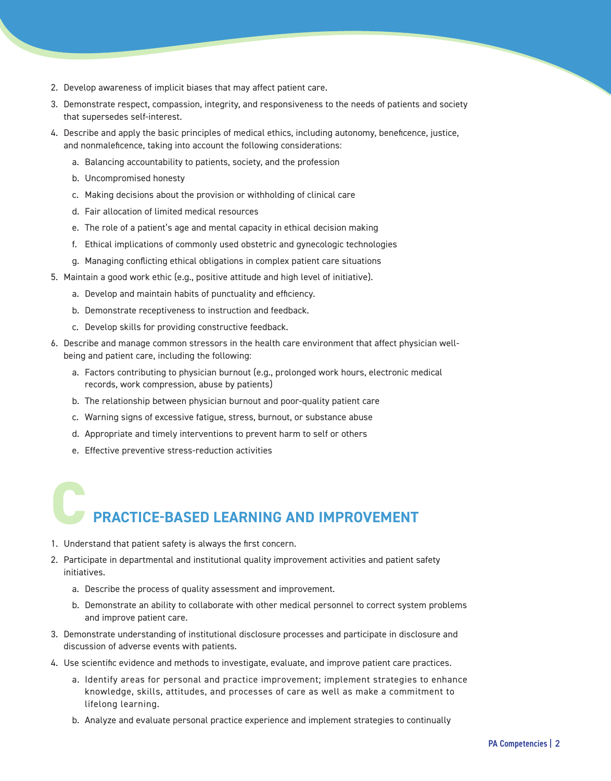- 2. Develop awareness of implicit biases that may affect patient care.
- 3. Demonstrate respect, compassion, integrity, and responsiveness to the needs of patients and society that supersedes self-interest.
- 4. Describe and apply the basic principles of medical ethics, including autonomy, beneficence, justice, and nonmaleficence, taking into account the following considerations:
	- a. Balancing accountability to patients, society, and the profession
	- b. Uncompromised honesty
	- c. Making decisions about the provision or withholding of clinical care
	- d. Fair allocation of limited medical resources
	- e. The role of a patient's age and mental capacity in ethical decision making
	- f. Ethical implications of commonly used obstetric and gynecologic technologies
	- g. Managing conflicting ethical obligations in complex patient care situations
- 5. Maintain a good work ethic (e.g., positive attitude and high level of initiative).
	- a. Develop and maintain habits of punctuality and efficiency.
	- b. Demonstrate receptiveness to instruction and feedback.
	- c. Develop skills for providing constructive feedback.
- 6. Describe and manage common stressors in the health care environment that affect physician wellbeing and patient care, including the following:
	- a. Factors contributing to physician burnout (e.g., prolonged work hours, electronic medical records, work compression, abuse by patients)
	- b. The relationship between physician burnout and poor-quality patient care
	- c. Warning signs of excessive fatigue, stress, burnout, or substance abuse
	- d. Appropriate and timely interventions to prevent harm to self or others
	- e. Effective preventive stress-reduction activities

# **PRACTICE-BASED LEARNING AND IMPROVEMENT C**

- 1. Understand that patient safety is always the first concern.
- 2. Participate in departmental and institutional quality improvement activities and patient safety initiatives.
	- a. Describe the process of quality assessment and improvement.
	- b. Demonstrate an ability to collaborate with other medical personnel to correct system problems and improve patient care.
- 3. Demonstrate understanding of institutional disclosure processes and participate in disclosure and discussion of adverse events with patients.
- 4. Use scientific evidence and methods to investigate, evaluate, and improve patient care practices.
	- a. Identify areas for personal and practice improvement; implement strategies to enhance knowledge, skills, attitudes, and processes of care as well as make a commitment to lifelong learning.
	- b. Analyze and evaluate personal practice experience and implement strategies to continually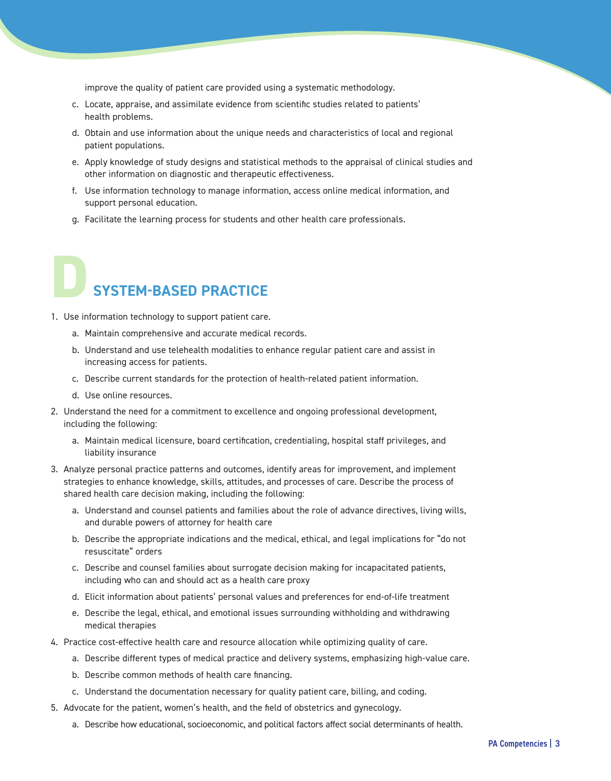improve the quality of patient care provided using a systematic methodology.

- c. Locate, appraise, and assimilate evidence from scientific studies related to patients' health problems.
- d. Obtain and use information about the unique needs and characteristics of local and regional patient populations.
- e. Apply knowledge of study designs and statistical methods to the appraisal of clinical studies and other information on diagnostic and therapeutic effectiveness.
- f. Use information technology to manage information, access online medical information, and support personal education.
- g. Facilitate the learning process for students and other health care professionals.

# **SYSTEM-BASED PRACTICE D**

- 1. Use information technology to support patient care.
	- a. Maintain comprehensive and accurate medical records.
	- b. Understand and use telehealth modalities to enhance regular patient care and assist in increasing access for patients.
	- c. Describe current standards for the protection of health-related patient information.
	- d. Use online resources.
- 2. Understand the need for a commitment to excellence and ongoing professional development, including the following:
	- a. Maintain medical licensure, board certification, credentialing, hospital staff privileges, and liability insurance
- 3. Analyze personal practice patterns and outcomes, identify areas for improvement, and implement strategies to enhance knowledge, skills, attitudes, and processes of care. Describe the process of shared health care decision making, including the following:
	- a. Understand and counsel patients and families about the role of advance directives, living wills, and durable powers of attorney for health care
	- b. Describe the appropriate indications and the medical, ethical, and legal implications for "do not resuscitate" orders
	- c. Describe and counsel families about surrogate decision making for incapacitated patients, including who can and should act as a health care proxy
	- d. Elicit information about patients' personal values and preferences for end-of-life treatment
	- e. Describe the legal, ethical, and emotional issues surrounding withholding and withdrawing medical therapies
- 4. Practice cost-effective health care and resource allocation while optimizing quality of care.
	- a. Describe different types of medical practice and delivery systems, emphasizing high-value care.
	- b. Describe common methods of health care financing.
	- c. Understand the documentation necessary for quality patient care, billing, and coding.
- 5. Advocate for the patient, women's health, and the field of obstetrics and gynecology.
	- a. Describe how educational, socioeconomic, and political factors affect social determinants of health.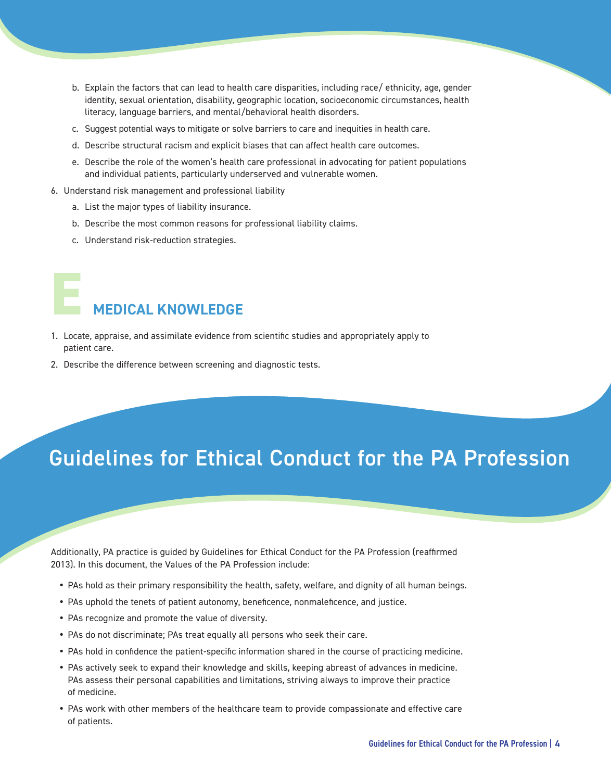- b. Explain the factors that can lead to health care disparities, including race/ ethnicity, age, gender identity, sexual orientation, disability, geographic location, socioeconomic circumstances, health literacy, language barriers, and mental/behavioral health disorders.
- c. Suggest potential ways to mitigate or solve barriers to care and inequities in health care.
- d. Describe structural racism and explicit biases that can affect health care outcomes.
- e. Describe the role of the women's health care professional in advocating for patient populations and individual patients, particularly underserved and vulnerable women.
- 6. Understand risk management and professional liability
	- a. List the major types of liability insurance.
	- b. Describe the most common reasons for professional liability claims.
	- c. Understand risk-reduction strategies.

# **MEDICAL KNOWLEDGE E**

- 1. Locate, appraise, and assimilate evidence from scientific studies and appropriately apply to patient care.
- 2. Describe the difference between screening and diagnostic tests.

### Guidelines for Ethical Conduct for the PA Profession

Additionally, PA practice is guided by Guidelines for Ethical Conduct for the PA Profession (reaffirmed 2013). In this document, the Values of the PA Profession include:

- PAs hold as their primary responsibility the health, safety, welfare, and dignity of all human beings.
- PAs uphold the tenets of patient autonomy, beneficence, nonmaleficence, and justice.
- PAs recognize and promote the value of diversity.
- PAs do not discriminate; PAs treat equally all persons who seek their care.
- PAs hold in confidence the patient-specific information shared in the course of practicing medicine.
- PAs actively seek to expand their knowledge and skills, keeping abreast of advances in medicine. PAs assess their personal capabilities and limitations, striving always to improve their practice of medicine.
- PAs work with other members of the healthcare team to provide compassionate and effective care of patients.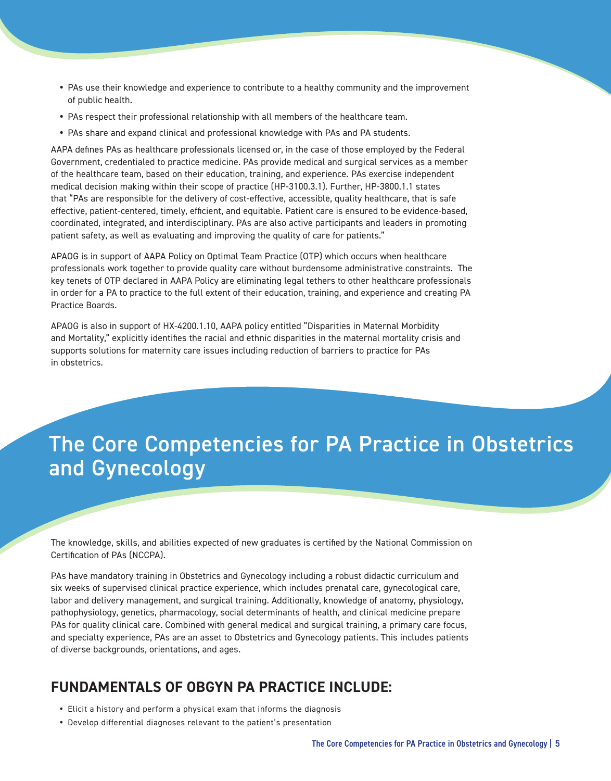- PAs use their knowledge and experience to contribute to a healthy community and the improvement of public health.
- PAs respect their professional relationship with all members of the healthcare team.
- PAs share and expand clinical and professional knowledge with PAs and PA students.

AAPA defines PAs as healthcare professionals licensed or, in the case of those employed by the Federal Government, credentialed to practice medicine. PAs provide medical and surgical services as a member of the healthcare team, based on their education, training, and experience. PAs exercise independent medical decision making within their scope of practice (HP-3100.3.1). Further, HP-3800.1.1 states that "PAs are responsible for the delivery of cost-effective, accessible, quality healthcare, that is safe effective, patient-centered, timely, efficient, and equitable. Patient care is ensured to be evidence-based, coordinated, integrated, and interdisciplinary. PAs are also active participants and leaders in promoting patient safety, as well as evaluating and improving the quality of care for patients."

APAOG is in support of AAPA Policy on Optimal Team Practice (OTP) which occurs when healthcare professionals work together to provide quality care without burdensome administrative constraints. The key tenets of OTP declared in AAPA Policy are eliminating legal tethers to other healthcare professionals in order for a PA to practice to the full extent of their education, training, and experience and creating PA Practice Boards.

APAOG is also in support of HX-4200.1.10, AAPA policy entitled "Disparities in Maternal Morbidity and Mortality," explicitly identifies the racial and ethnic disparities in the maternal mortality crisis and supports solutions for maternity care issues including reduction of barriers to practice for PAs in obstetrics.

### The Core Competencies for PA Practice in Obstetrics and Gynecology

The knowledge, skills, and abilities expected of new graduates is certified by the National Commission on Certification of PAs (NCCPA).

PAs have mandatory training in Obstetrics and Gynecology including a robust didactic curriculum and six weeks of supervised clinical practice experience, which includes prenatal care, gynecological care, labor and delivery management, and surgical training. Additionally, knowledge of anatomy, physiology, pathophysiology, genetics, pharmacology, social determinants of health, and clinical medicine prepare PAs for quality clinical care. Combined with general medical and surgical training, a primary care focus, and specialty experience, PAs are an asset to Obstetrics and Gynecology patients. This includes patients of diverse backgrounds, orientations, and ages.

#### **FUNDAMENTALS OF OBGYN PA PRACTICE INCLUDE:**

- Elicit a history and perform a physical exam that informs the diagnosis
- Develop differential diagnoses relevant to the patient's presentation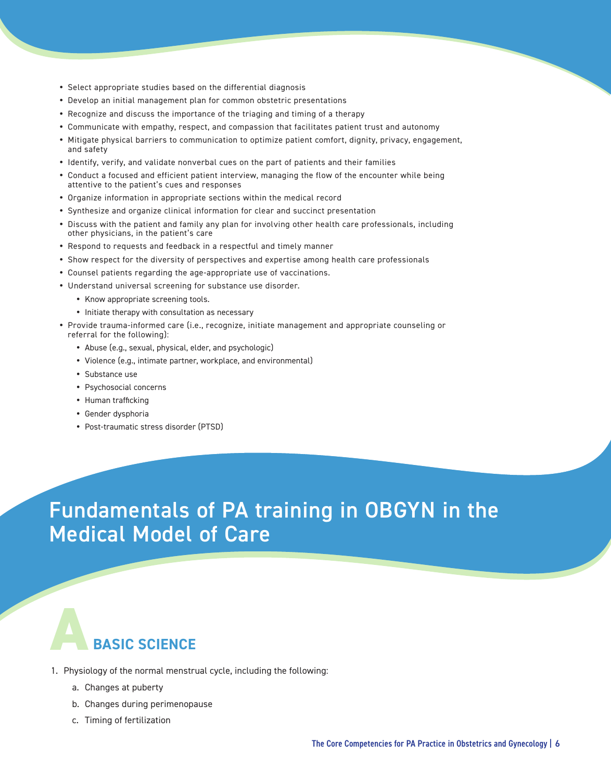- Select appropriate studies based on the differential diagnosis
- Develop an initial management plan for common obstetric presentations
- Recognize and discuss the importance of the triaging and timing of a therapy
- Communicate with empathy, respect, and compassion that facilitates patient trust and autonomy
- Mitigate physical barriers to communication to optimize patient comfort, dignity, privacy, engagement, and safety
- Identify, verify, and validate nonverbal cues on the part of patients and their families
- Conduct a focused and efficient patient interview, managing the flow of the encounter while being attentive to the patient's cues and responses
- Organize information in appropriate sections within the medical record
- y Synthesize and organize clinical information for clear and succinct presentation
- Discuss with the patient and family any plan for involving other health care professionals, including other physicians, in the patient's care
- Respond to requests and feedback in a respectful and timely manner
- Show respect for the diversity of perspectives and expertise among health care professionals
- Counsel patients regarding the age-appropriate use of vaccinations.
- Understand universal screening for substance use disorder.
	- Know appropriate screening tools.
	- Initiate therapy with consultation as necessary
- Provide trauma-informed care (i.e., recognize, initiate management and appropriate counseling or referral for the following):
	- Abuse (e.g., sexual, physical, elder, and psychologic)
	- Violence (e.g., intimate partner, workplace, and environmental)
	- Substance use
	- Psychosocial concerns
	- Human trafficking
	- Gender dysphoria
	- Post-traumatic stress disorder (PTSD)

### Fundamentals of PA training in OBGYN in the Medical Model of Care

#### **ABASIC SCIENCE**

- 1. Physiology of the normal menstrual cycle, including the following:
	- a. Changes at puberty
	- b. Changes during perimenopause
	- c. Timing of fertilization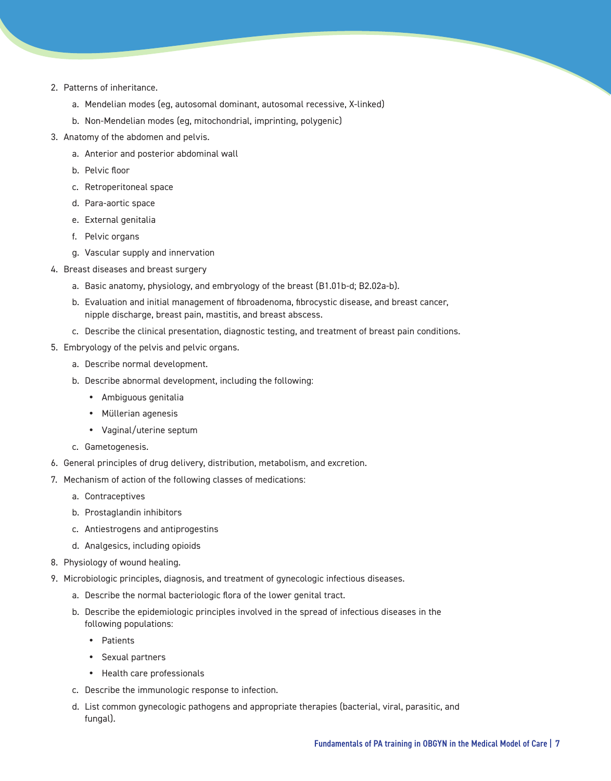- 2. Patterns of inheritance.
	- a. Mendelian modes (eg, autosomal dominant, autosomal recessive, X-linked)
	- b. Non-Mendelian modes (eg, mitochondrial, imprinting, polygenic)
- 3. Anatomy of the abdomen and pelvis.
	- a. Anterior and posterior abdominal wall
	- b. Pelvic floor
	- c. Retroperitoneal space
	- d. Para-aortic space
	- e. External genitalia
	- f. Pelvic organs
	- g. Vascular supply and innervation
- 4. Breast diseases and breast surgery
	- a. Basic anatomy, physiology, and embryology of the breast (B1.01b-d; B2.02a-b).
	- b. Evaluation and initial management of fibroadenoma, fibrocystic disease, and breast cancer, nipple discharge, breast pain, mastitis, and breast abscess.
	- c. Describe the clinical presentation, diagnostic testing, and treatment of breast pain conditions.
- 5. Embryology of the pelvis and pelvic organs.
	- a. Describe normal development.
	- b. Describe abnormal development, including the following:
		- Ambiguous genitalia
		- Müllerian agenesis
		- Vaginal/uterine septum
	- c. Gametogenesis.
- 6. General principles of drug delivery, distribution, metabolism, and excretion.
- 7. Mechanism of action of the following classes of medications:
	- a. Contraceptives
	- b. Prostaglandin inhibitors
	- c. Antiestrogens and antiprogestins
	- d. Analgesics, including opioids
- 8. Physiology of wound healing.
- 9. Microbiologic principles, diagnosis, and treatment of gynecologic infectious diseases.
	- a. Describe the normal bacteriologic flora of the lower genital tract.
	- b. Describe the epidemiologic principles involved in the spread of infectious diseases in the following populations:
		- Patients
		- Sexual partners
		- Health care professionals
	- c. Describe the immunologic response to infection.
	- d. List common gynecologic pathogens and appropriate therapies (bacterial, viral, parasitic, and fungal).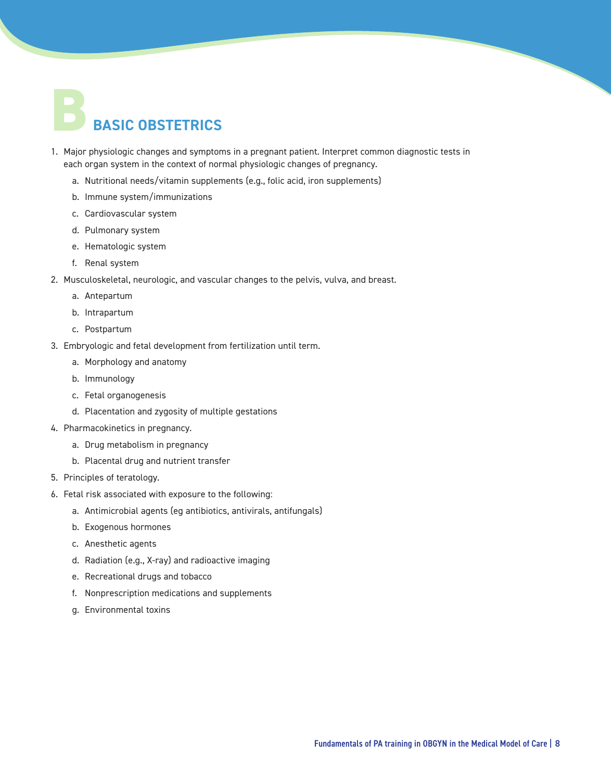# **BBASIC OBSTETRICS**

- 1. Major physiologic changes and symptoms in a pregnant patient. Interpret common diagnostic tests in each organ system in the context of normal physiologic changes of pregnancy.
	- a. Nutritional needs/vitamin supplements (e.g., folic acid, iron supplements)
	- b. Immune system/immunizations
	- c. Cardiovascular system
	- d. Pulmonary system
	- e. Hematologic system
	- f. Renal system
- 2. Musculoskeletal, neurologic, and vascular changes to the pelvis, vulva, and breast.
	- a. Antepartum
	- b. Intrapartum
	- c. Postpartum
- 3. Embryologic and fetal development from fertilization until term.
	- a. Morphology and anatomy
	- b. Immunology
	- c. Fetal organogenesis
	- d. Placentation and zygosity of multiple gestations
- 4. Pharmacokinetics in pregnancy.
	- a. Drug metabolism in pregnancy
	- b. Placental drug and nutrient transfer
- 5. Principles of teratology.
- 6. Fetal risk associated with exposure to the following:
	- a. Antimicrobial agents (eg antibiotics, antivirals, antifungals)
	- b. Exogenous hormones
	- c. Anesthetic agents
	- d. Radiation (e.g., X-ray) and radioactive imaging
	- e. Recreational drugs and tobacco
	- f. Nonprescription medications and supplements
	- g. Environmental toxins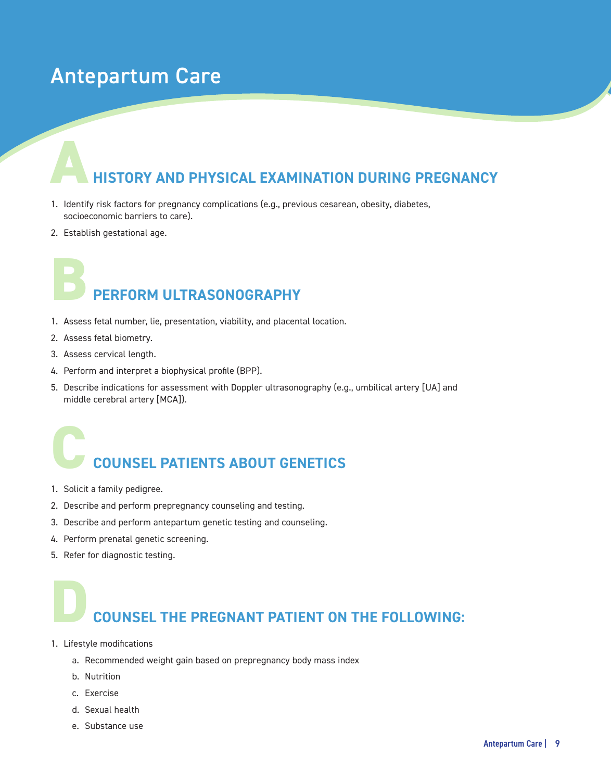### Antepartum Care

# **HISTORY AND PHYSICAL EXAMINATION DURING PREGNANCY A**

- 1. Identify risk factors for pregnancy complications (e.g., previous cesarean, obesity, diabetes, socioeconomic barriers to care).
- 2. Establish gestational age.

# **PERFORM ULTRASONOGRAPHY B**

- 1. Assess fetal number, lie, presentation, viability, and placental location.
- 2. Assess fetal biometry.
- 3. Assess cervical length.
- 4. Perform and interpret a biophysical profile (BPP).
- 5. Describe indications for assessment with Doppler ultrasonography (e.g., umbilical artery [UA] and middle cerebral artery [MCA]).

# **COUNSEL PATIENTS ABOUT GENETICS C**

- 1. Solicit a family pedigree.
- 2. Describe and perform prepregnancy counseling and testing.
- 3. Describe and perform antepartum genetic testing and counseling.
- 4. Perform prenatal genetic screening.
- 5. Refer for diagnostic testing.

# **COUNSEL THE PREGNANT PATIENT ON THE FOLLOWING: D**

- 1. Lifestyle modifications
	- a. Recommended weight gain based on prepregnancy body mass index
	- b. Nutrition
	- c. Exercise
	- d. Sexual health
	- e. Substance use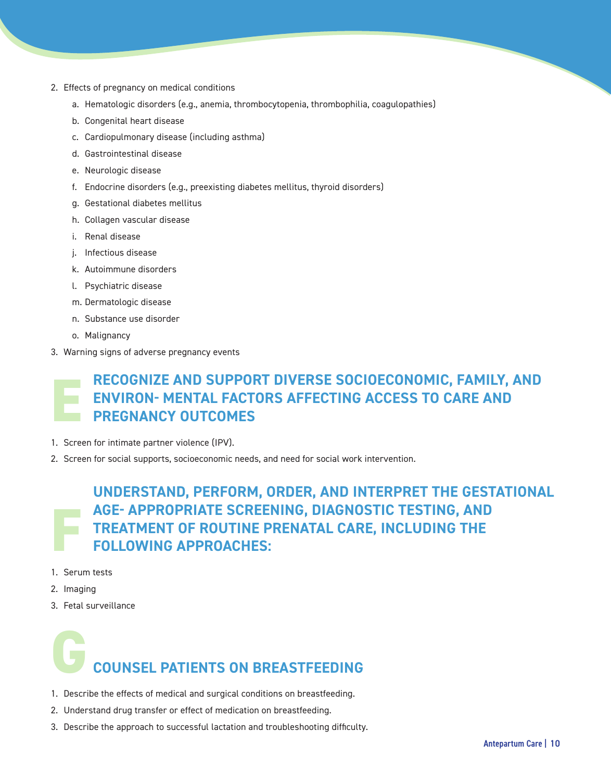- 2. Effects of pregnancy on medical conditions
	- a. Hematologic disorders (e.g., anemia, thrombocytopenia, thrombophilia, coagulopathies)
	- b. Congenital heart disease
	- c. Cardiopulmonary disease (including asthma)
	- d. Gastrointestinal disease
	- e. Neurologic disease
	- f. Endocrine disorders (e.g., preexisting diabetes mellitus, thyroid disorders)
	- g. Gestational diabetes mellitus
	- h. Collagen vascular disease
	- i. Renal disease
	- j. Infectious disease
	- k. Autoimmune disorders
	- l. Psychiatric disease
	- m. Dermatologic disease
	- n. Substance use disorder
	- o. Malignancy
- 3. Warning signs of adverse pregnancy events

#### **RECOGNIZE AND SUPPORT DIVERSE SOCIOECONOMIC, FAMILY, AND ENVIRON- MENTAL FACTORS AFFECTING ACCESS TO CARE AND PREGNANCY OUTCOMES E**

- 1. Screen for intimate partner violence (IPV).
- 2. Screen for social supports, socioeconomic needs, and need for social work intervention.

#### **UNDERSTAND, PERFORM, ORDER, AND INTERPRET THE GESTATIONAL AGE- APPROPRIATE SCREENING, DIAGNOSTIC TESTING, AND TREATMENT OF ROUTINE PRENATAL CARE, INCLUDING THE FOLLOWING APPROACHES: F**

- 1. Serum tests
- 2. Imaging
- 3. Fetal surveillance

# **GCOUNSEL PATIENTS ON BREASTFEEDING**

- 1. Describe the effects of medical and surgical conditions on breastfeeding.
- 2. Understand drug transfer or effect of medication on breastfeeding.
- 3. Describe the approach to successful lactation and troubleshooting difficulty.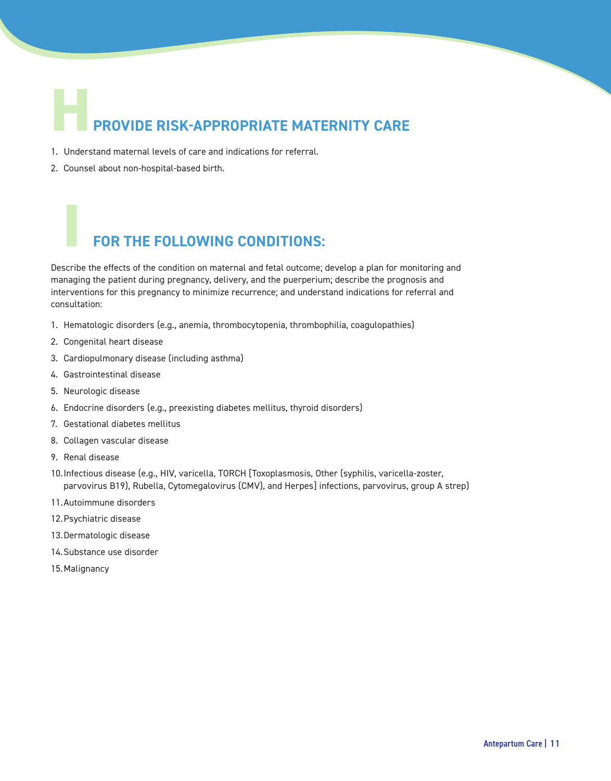# **PROVIDE RISK-APPROPRIATE MATERNITY CARE H**

- 1. Understand maternal levels of care and indications for referral.
- 2. Counsel about non-hospital-based birth.

#### **FOR THE FOLLOWING CONDITIONS:**

Describe the effects of the condition on maternal and fetal outcome; develop a plan for monitoring and managing the patient during pregnancy, delivery, and the puerperium; describe the prognosis and interventions for this pregnancy to minimize recurrence; and understand indications for referral and consultation:

- 1. Hematologic disorders (e.g., anemia, thrombocytopenia, thrombophilia, coagulopathies)
- 2. Congenital heart disease
- 3. Cardiopulmonary disease (including asthma)
- 4. Gastrointestinal disease
- 5. Neurologic disease

**I**

- 6. Endocrine disorders (e.g., preexisting diabetes mellitus, thyroid disorders)
- 7. Gestational diabetes mellitus
- 8. Collagen vascular disease
- 9. Renal disease
- 10.Infectious disease (e.g., HIV, varicella, TORCH [Toxoplasmosis, Other (syphilis, varicella-zoster, parvovirus B19), Rubella, Cytomegalovirus (CMV), and Herpes] infections, parvovirus, group A strep)
- 11.Autoimmune disorders
- 12.Psychiatric disease
- 13.Dermatologic disease
- 14.Substance use disorder
- 15.Malignancy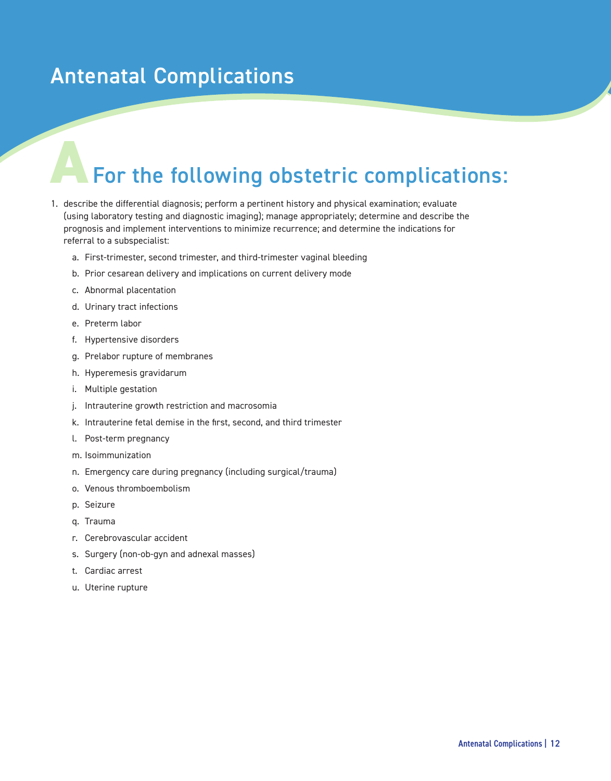### Antenatal Complications

# For the following obstetric complications:

- 1. describe the differential diagnosis; perform a pertinent history and physical examination; evaluate (using laboratory testing and diagnostic imaging); manage appropriately; determine and describe the prognosis and implement interventions to minimize recurrence; and determine the indications for referral to a subspecialist:
	- a. First-trimester, second trimester, and third-trimester vaginal bleeding
	- b. Prior cesarean delivery and implications on current delivery mode
	- c. Abnormal placentation
	- d. Urinary tract infections
	- e. Preterm labor
	- f. Hypertensive disorders
	- g. Prelabor rupture of membranes
	- h. Hyperemesis gravidarum
	- i. Multiple gestation
	- j. Intrauterine growth restriction and macrosomia
	- k. Intrauterine fetal demise in the first, second, and third trimester
	- l. Post-term pregnancy
	- m. Isoimmunization
	- n. Emergency care during pregnancy (including surgical/trauma)
	- o. Venous thromboembolism
	- p. Seizure
	- q. Trauma
	- r. Cerebrovascular accident
	- s. Surgery (non-ob-gyn and adnexal masses)
	- t. Cardiac arrest
	- u. Uterine rupture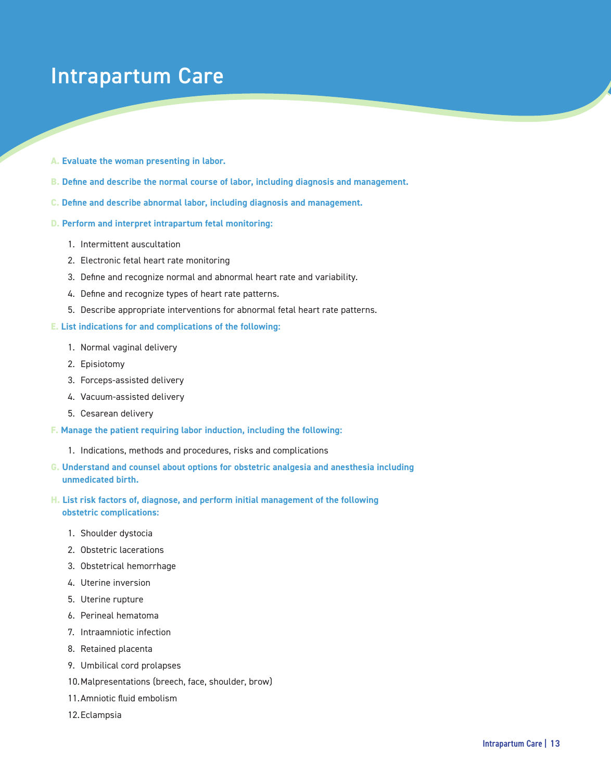### Intrapartum Care

- **A. Evaluate the woman presenting in labor.**
- **B. Define and describe the normal course of labor, including diagnosis and management.**
- **C. Define and describe abnormal labor, including diagnosis and management.**
- **D. Perform and interpret intrapartum fetal monitoring:** 
	- 1. Intermittent auscultation
	- 2. Electronic fetal heart rate monitoring
	- 3. Define and recognize normal and abnormal heart rate and variability.
	- 4. Define and recognize types of heart rate patterns.
	- 5. Describe appropriate interventions for abnormal fetal heart rate patterns.

#### **E. List indications for and complications of the following:**

- 1. Normal vaginal delivery
- 2. Episiotomy
- 3. Forceps-assisted delivery
- 4. Vacuum-assisted delivery
- 5. Cesarean delivery
- **F. Manage the patient requiring labor induction, including the following:** 
	- 1. Indications, methods and procedures, risks and complications
- **G. Understand and counsel about options for obstetric analgesia and anesthesia including unmedicated birth.**
- **H. List risk factors of, diagnose, and perform initial management of the following obstetric complications:** 
	- 1. Shoulder dystocia
	- 2. Obstetric lacerations
	- 3. Obstetrical hemorrhage
	- 4. Uterine inversion
	- 5. Uterine rupture
	- 6. Perineal hematoma
	- 7. Intraamniotic infection
	- 8. Retained placenta
	- 9. Umbilical cord prolapses
	- 10.Malpresentations (breech, face, shoulder, brow)
	- 11.Amniotic fluid embolism
	- 12.Eclampsia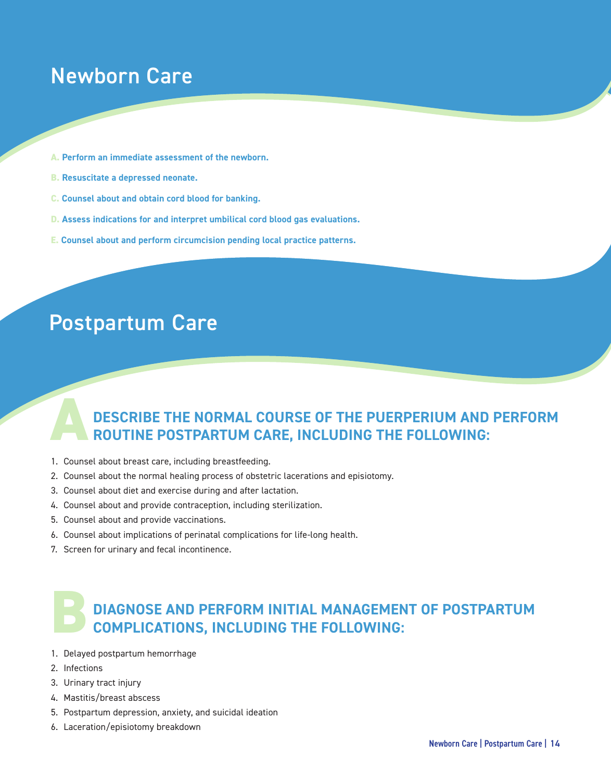### Newborn Care

- **A. Perform an immediate assessment of the newborn.**
- **B. Resuscitate a depressed neonate.**
- **C. Counsel about and obtain cord blood for banking.**
- **D. Assess indications for and interpret umbilical cord blood gas evaluations.**
- **E. Counsel about and perform circumcision pending local practice patterns.**

### Postpartum Care

#### **DESCRIBE THE NORMAL COURSE OF THE PUERPERIUM AND PERFORM ROUTINE POSTPARTUM CARE, INCLUDING THE FOLLOWING: A**

- 1. Counsel about breast care, including breastfeeding.
- 2. Counsel about the normal healing process of obstetric lacerations and episiotomy.
- 3. Counsel about diet and exercise during and after lactation.
- 4. Counsel about and provide contraception, including sterilization.
- 5. Counsel about and provide vaccinations.
- 6. Counsel about implications of perinatal complications for life-long health.
- 7. Screen for urinary and fecal incontinence.

#### **DIAGNOSE AND PERFORM INITIAL MANAGEMENT OF POSTPARTUM COMPLICATIONS, INCLUDING THE FOLLOWING: B**

- 1. Delayed postpartum hemorrhage
- 2. Infections
- 3. Urinary tract injury
- 4. Mastitis/breast abscess
- 5. Postpartum depression, anxiety, and suicidal ideation
- 6. Laceration/episiotomy breakdown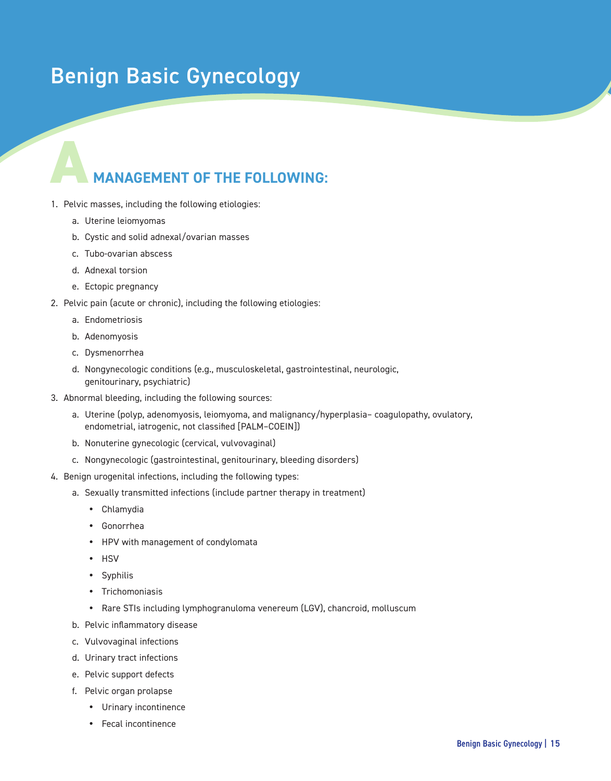### Benign Basic Gynecology

#### **A MANAGEMENT OF THE FOLLOWING:**

- 1. Pelvic masses, including the following etiologies:
	- a. Uterine leiomyomas
	- b. Cystic and solid adnexal/ovarian masses
	- c. Tubo-ovarian abscess
	- d. Adnexal torsion
	- e. Ectopic pregnancy
- 2. Pelvic pain (acute or chronic), including the following etiologies:
	- a. Endometriosis
	- b. Adenomyosis
	- c. Dysmenorrhea
	- d. Nongynecologic conditions (e.g., musculoskeletal, gastrointestinal, neurologic, genitourinary, psychiatric)
- 3. Abnormal bleeding, including the following sources:
	- a. Uterine (polyp, adenomyosis, leiomyoma, and malignancy/hyperplasia– coagulopathy, ovulatory, endometrial, iatrogenic, not classified [PALM–COEIN])
	- b. Nonuterine gynecologic (cervical, vulvovaginal)
	- c. Nongynecologic (gastrointestinal, genitourinary, bleeding disorders)
- 4. Benign urogenital infections, including the following types:
	- a. Sexually transmitted infections (include partner therapy in treatment)
		- Chlamydia
		- Gonorrhea
		- HPV with management of condylomata
		- HSV
		- Syphilis
		- Trichomoniasis
		- Rare STIs including lymphogranuloma venereum (LGV), chancroid, molluscum
	- b. Pelvic inflammatory disease
	- c. Vulvovaginal infections
	- d. Urinary tract infections
	- e. Pelvic support defects
	- f. Pelvic organ prolapse
		- Urinary incontinence
		- Fecal incontinence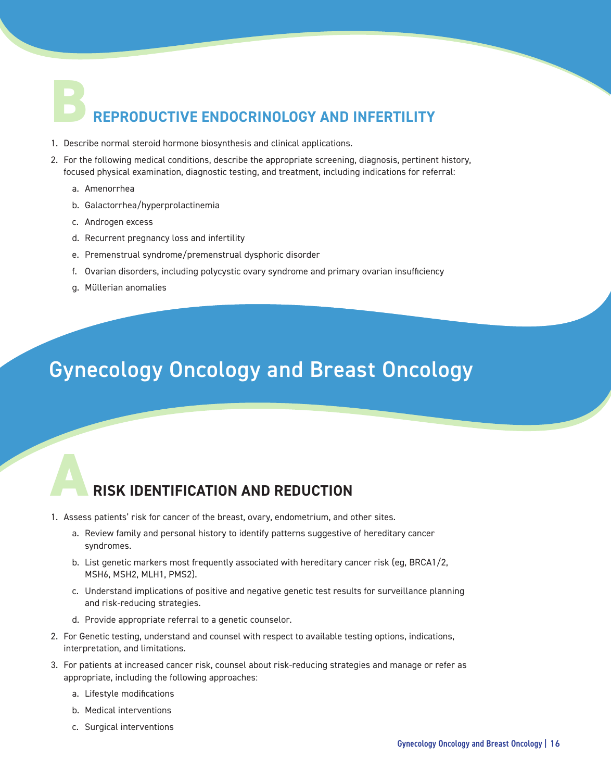# **B REPRODUCTIVE ENDOCRINOLOGY AND INFERTILITY**

- 1. Describe normal steroid hormone biosynthesis and clinical applications.
- 2. For the following medical conditions, describe the appropriate screening, diagnosis, pertinent history, focused physical examination, diagnostic testing, and treatment, including indications for referral:
	- a. Amenorrhea
	- b. Galactorrhea/hyperprolactinemia
	- c. Androgen excess
	- d. Recurrent pregnancy loss and infertility
	- e. Premenstrual syndrome/premenstrual dysphoric disorder
	- f. Ovarian disorders, including polycystic ovary syndrome and primary ovarian insufficiency
	- g. Müllerian anomalies

### Gynecology Oncology and Breast Oncology

#### **ARISK IDENTIFICATION AND REDUCTION**

- 1. Assess patients' risk for cancer of the breast, ovary, endometrium, and other sites.
	- a. Review family and personal history to identify patterns suggestive of hereditary cancer syndromes.
	- b. List genetic markers most frequently associated with hereditary cancer risk (eg, BRCA1/2, MSH6, MSH2, MLH1, PMS2).
	- c. Understand implications of positive and negative genetic test results for surveillance planning and risk-reducing strategies.
	- d. Provide appropriate referral to a genetic counselor.
- 2. For Genetic testing, understand and counsel with respect to available testing options, indications, interpretation, and limitations.
- 3. For patients at increased cancer risk, counsel about risk-reducing strategies and manage or refer as appropriate, including the following approaches:
	- a. Lifestyle modifications
	- b. Medical interventions
	- c. Surgical interventions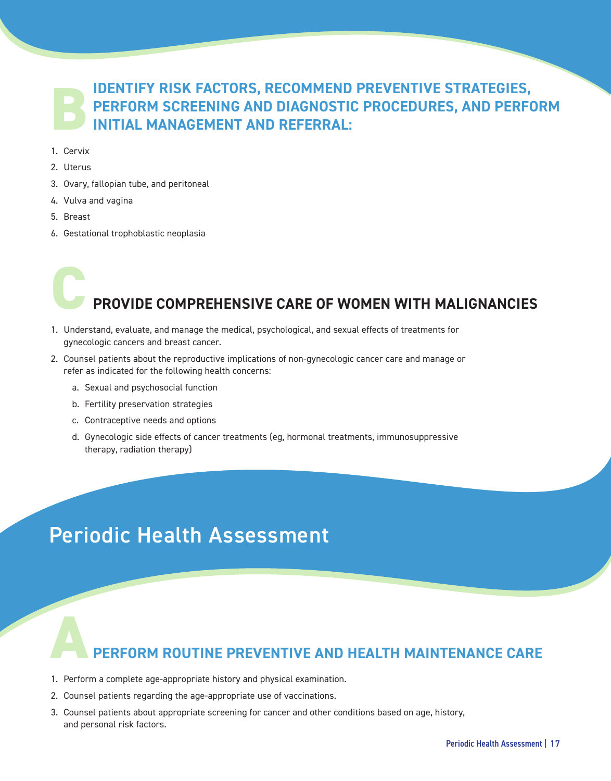## **IDENTIFY RISK FACTORS, RECOMMEND PREVENTIVE STRATEGIES, PERFORM SCREENING AND DIAGNOSTIC PROCEDURES, AND PERFORM BINITIAL MANAGEMENT AND REFERRAL:**

- 1. Cervix
- 2. Uterus
- 3. Ovary, fallopian tube, and peritoneal
- 4. Vulva and vagina
- 5. Breast
- 6. Gestational trophoblastic neoplasia

# **C PROVIDE COMPREHENSIVE CARE OF WOMEN WITH MALIGNANCIES**

- 1. Understand, evaluate, and manage the medical, psychological, and sexual effects of treatments for gynecologic cancers and breast cancer.
- 2. Counsel patients about the reproductive implications of non-gynecologic cancer care and manage or refer as indicated for the following health concerns:
	- a. Sexual and psychosocial function
	- b. Fertility preservation strategies
	- c. Contraceptive needs and options
	- d. Gynecologic side effects of cancer treatments (eg, hormonal treatments, immunosuppressive therapy, radiation therapy)

### Periodic Health Assessment

#### **APERFORM ROUTINE PREVENTIVE AND HEALTH MAINTENANCE CARE**

- 1. Perform a complete age-appropriate history and physical examination.
- 2. Counsel patients regarding the age-appropriate use of vaccinations.
- 3. Counsel patients about appropriate screening for cancer and other conditions based on age, history, and personal risk factors.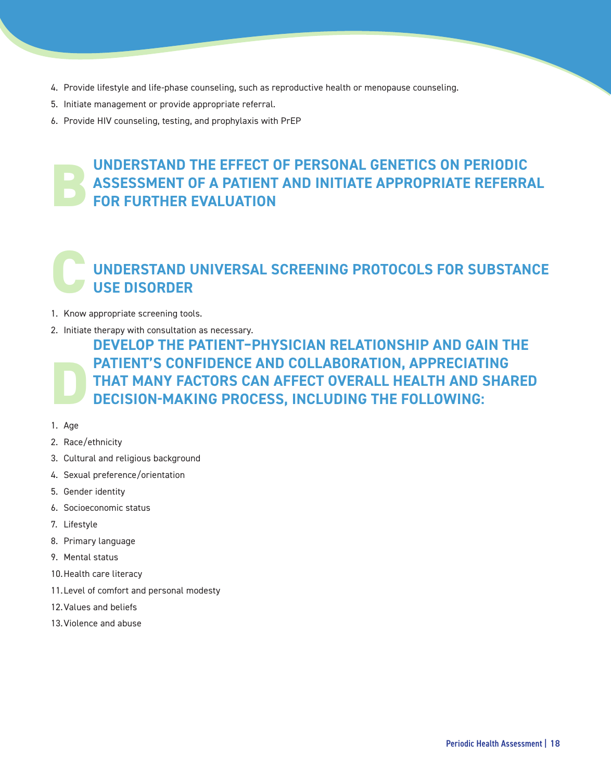- 4. Provide lifestyle and life-phase counseling, such as reproductive health or menopause counseling.
- 5. Initiate management or provide appropriate referral.
- 6. Provide HIV counseling, testing, and prophylaxis with PrEP

#### **UNDERSTAND THE EFFECT OF PERSONAL GENETICS ON PERIODIC ASSESSMENT OF A PATIENT AND INITIATE APPROPRIATE REFERRAL FOR FURTHER EVALUATION B**

#### **UNDERSTAND UNIVERSAL SCREENING PROTOCOLS FOR SUBSTANCE USE DISORDER C**

- 1. Know appropriate screening tools.
- 2. Initiate therapy with consultation as necessary.

**DEVELOP THE PATIENT–PHYSICIAN RELATIONSHIP AND GAIN THE PATIENT'S CONFIDENCE AND COLLABORATION, APPRECIATING THAT MANY FACTORS CAN AFFECT OVERALL HEALTH AND SHARED DECISION-MAKING PROCESS, INCLUDING THE FOLLOWING: D**

- 1. Age
- 2. Race/ethnicity
- 3. Cultural and religious background
- 4. Sexual preference/orientation
- 5. Gender identity
- 6. Socioeconomic status
- 7. Lifestyle
- 8. Primary language
- 9. Mental status
- 10.Health care literacy
- 11.Level of comfort and personal modesty
- 12.Values and beliefs
- 13.Violence and abuse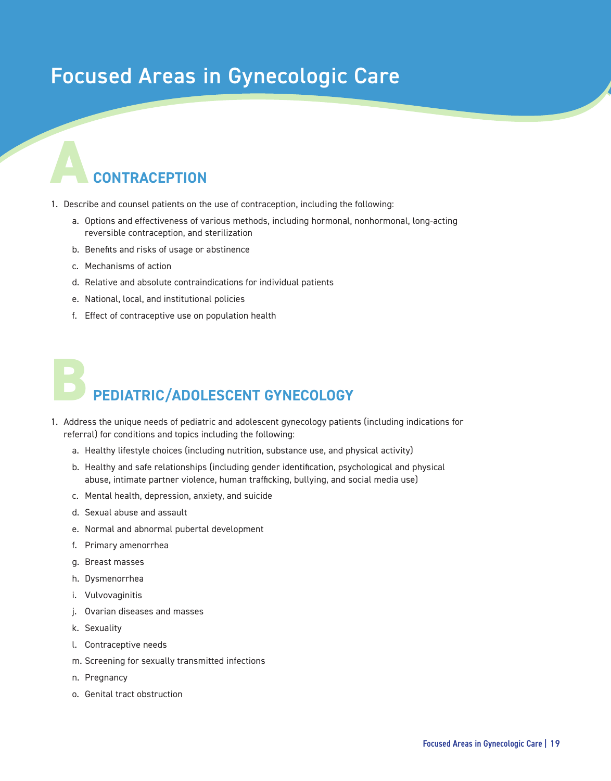### Focused Areas in Gynecologic Care

# **CONTRACEPTION A**

- 1. Describe and counsel patients on the use of contraception, including the following:
	- a. Options and effectiveness of various methods, including hormonal, nonhormonal, long-acting reversible contraception, and sterilization
	- b. Benefits and risks of usage or abstinence
	- c. Mechanisms of action
	- d. Relative and absolute contraindications for individual patients
	- e. National, local, and institutional policies
	- f. Effect of contraceptive use on population health

# **PEDIATRIC/ADOLESCENT GYNECOLOGY B**

- 1. Address the unique needs of pediatric and adolescent gynecology patients (including indications for referral) for conditions and topics including the following:
	- a. Healthy lifestyle choices (including nutrition, substance use, and physical activity)
	- b. Healthy and safe relationships (including gender identification, psychological and physical abuse, intimate partner violence, human trafficking, bullying, and social media use)
	- c. Mental health, depression, anxiety, and suicide
	- d. Sexual abuse and assault
	- e. Normal and abnormal pubertal development
	- f. Primary amenorrhea
	- g. Breast masses
	- h. Dysmenorrhea
	- i. Vulvovaginitis
	- j. Ovarian diseases and masses
	- k. Sexuality
	- l. Contraceptive needs
	- m. Screening for sexually transmitted infections
	- n. Pregnancy
	- o. Genital tract obstruction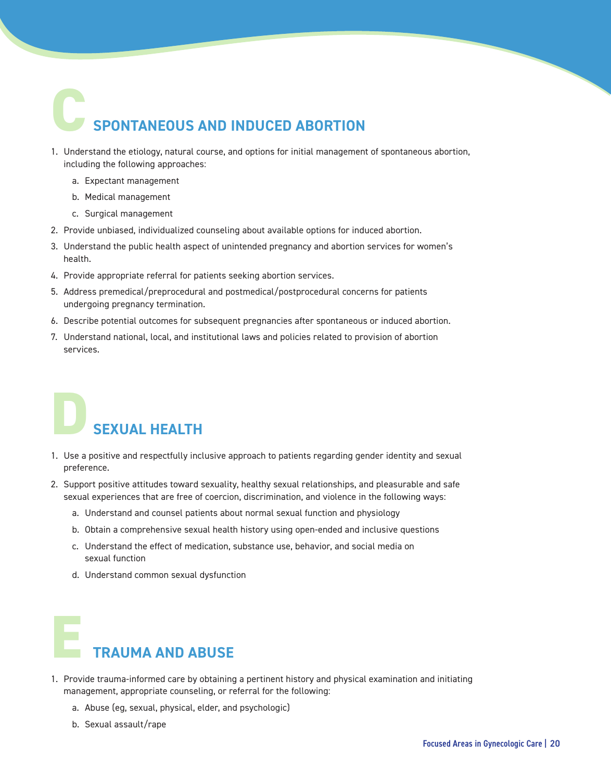# **SPONTANEOUS AND INDUCED ABORTION C**

- 1. Understand the etiology, natural course, and options for initial management of spontaneous abortion, including the following approaches:
	- a. Expectant management
	- b. Medical management
	- c. Surgical management
- 2. Provide unbiased, individualized counseling about available options for induced abortion.
- 3. Understand the public health aspect of unintended pregnancy and abortion services for women's health.
- 4. Provide appropriate referral for patients seeking abortion services.
- 5. Address premedical/preprocedural and postmedical/postprocedural concerns for patients undergoing pregnancy termination.
- 6. Describe potential outcomes for subsequent pregnancies after spontaneous or induced abortion.
- 7. Understand national, local, and institutional laws and policies related to provision of abortion services.

# **SEXUAL HEALTH D**

- 1. Use a positive and respectfully inclusive approach to patients regarding gender identity and sexual preference.
- 2. Support positive attitudes toward sexuality, healthy sexual relationships, and pleasurable and safe sexual experiences that are free of coercion, discrimination, and violence in the following ways:
	- a. Understand and counsel patients about normal sexual function and physiology
	- b. Obtain a comprehensive sexual health history using open-ended and inclusive questions
	- c. Understand the effect of medication, substance use, behavior, and social media on sexual function
	- d. Understand common sexual dysfunction



- 1. Provide trauma-informed care by obtaining a pertinent history and physical examination and initiating management, appropriate counseling, or referral for the following:
	- a. Abuse (eg, sexual, physical, elder, and psychologic)
	- b. Sexual assault/rape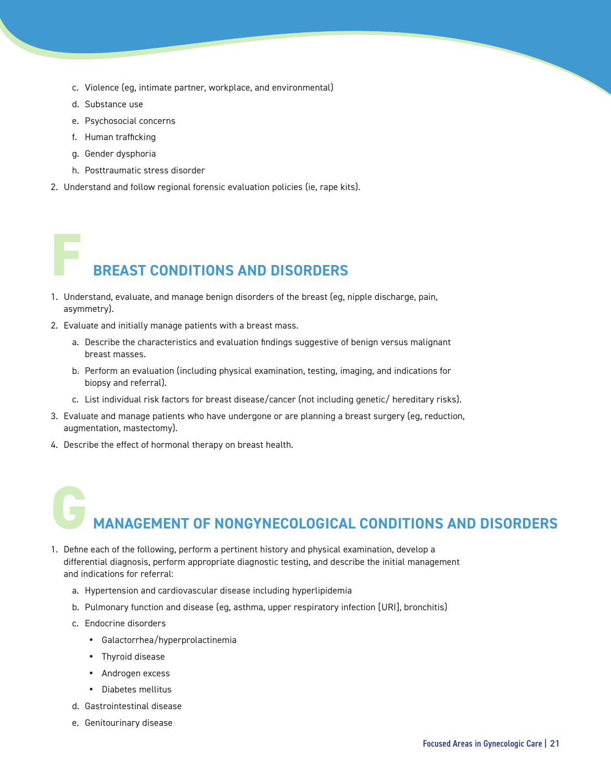- c. Violence (eg, intimate partner, workplace, and environmental)
- d. Substance use
- e. Psychosocial concerns
- f. Human trafficking
- g. Gender dysphoria

**F**

- h. Posttraumatic stress disorder
- 2. Understand and follow regional forensic evaluation policies (ie, rape kits).

## **BREAST CONDITIONS AND DISORDERS**

- 1. Understand, evaluate, and manage benign disorders of the breast (eg, nipple discharge, pain, asymmetry).
- 2. Evaluate and initially manage patients with a breast mass.
	- a. Describe the characteristics and evaluation findings suggestive of benign versus malignant breast masses.
	- b. Perform an evaluation (including physical examination, testing, imaging, and indications for biopsy and referral).
	- c. List individual risk factors for breast disease/cancer (not including genetic/ hereditary risks).
- 3. Evaluate and manage patients who have undergone or are planning a breast surgery (eg, reduction, augmentation, mastectomy).
- 4. Describe the effect of hormonal therapy on breast health.

# **MANAGEMENT OF NONGYNECOLOGICAL CONDITIONS AND DISORDERS G**

- 1. Define each of the following, perform a pertinent history and physical examination, develop a differential diagnosis, perform appropriate diagnostic testing, and describe the initial management and indications for referral:
	- a. Hypertension and cardiovascular disease including hyperlipidemia
	- b. Pulmonary function and disease (eg, asthma, upper respiratory infection [URI], bronchitis)
	- c. Endocrine disorders
		- Galactorrhea/hyperprolactinemia
		- Thyroid disease
		- Androgen excess
		- Diabetes mellitus
	- d. Gastrointestinal disease
	- e. Genitourinary disease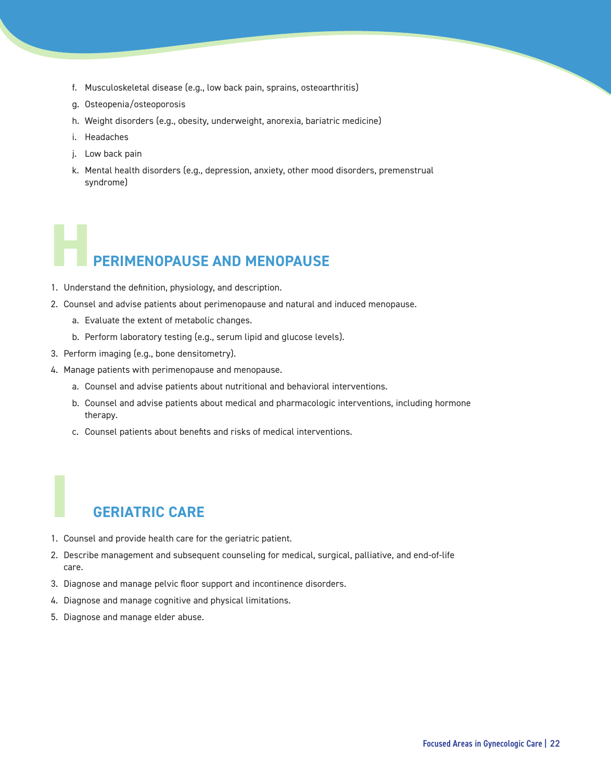- f. Musculoskeletal disease (e.g., low back pain, sprains, osteoarthritis)
- g. Osteopenia/osteoporosis
- h. Weight disorders (e.g., obesity, underweight, anorexia, bariatric medicine)
- i. Headaches
- j. Low back pain
- k. Mental health disorders (e.g., depression, anxiety, other mood disorders, premenstrual syndrome)

# **PERIMENOPAUSE AND MENOPAUSE H**

- 1. Understand the definition, physiology, and description.
- 2. Counsel and advise patients about perimenopause and natural and induced menopause.
	- a. Evaluate the extent of metabolic changes.
	- b. Perform laboratory testing (e.g., serum lipid and glucose levels).
- 3. Perform imaging (e.g., bone densitometry).
- 4. Manage patients with perimenopause and menopause.
	- a. Counsel and advise patients about nutritional and behavioral interventions.
	- b. Counsel and advise patients about medical and pharmacologic interventions, including hormone therapy.
	- c. Counsel patients about benefits and risks of medical interventions.

#### **GERIATRIC CARE**

**I**

- 1. Counsel and provide health care for the geriatric patient.
- 2. Describe management and subsequent counseling for medical, surgical, palliative, and end-of-life care.
- 3. Diagnose and manage pelvic floor support and incontinence disorders.
- 4. Diagnose and manage cognitive and physical limitations.
- 5. Diagnose and manage elder abuse.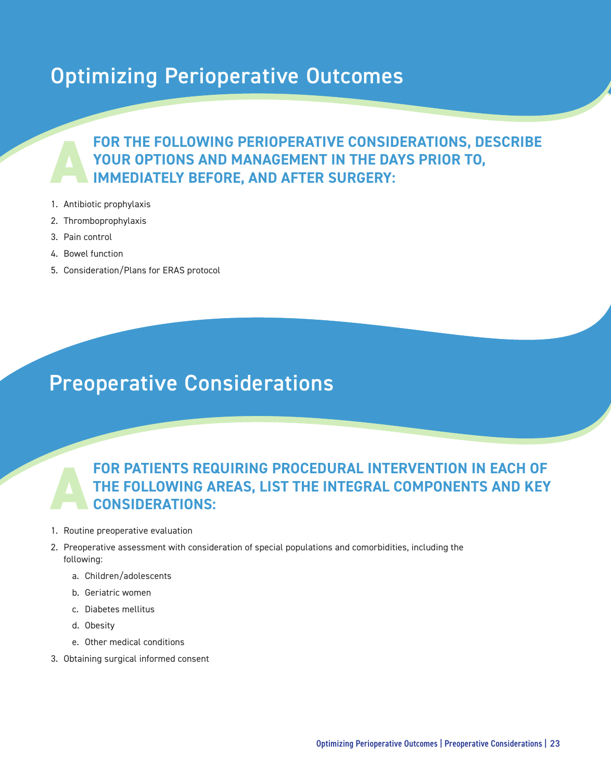### Optimizing Perioperative Outcomes

## **FOR THE FOLLOWING PERIOPERATIVE CONSIDERATIONS, DESCRIBE**  YOUR OPTIONS AND MANAGEMENT IN THE DAYS PRIOR TO, **IMMEDIATELY BEFORE, AND AFTER SURGERY:**

- 1. Antibiotic prophylaxis
- 2. Thromboprophylaxis
- 3. Pain control
- 4. Bowel function
- 5. Consideration/Plans for ERAS protocol

### Preoperative Considerations

#### **A FOR PATIENTS REQUIRING PROCEDURAL INTERVENTION IN EACH OF THE FOLLOWING AREAS, LIST THE INTEGRAL COMPONENTS AND KEY CONSIDERATIONS:**

- 1. Routine preoperative evaluation
- 2. Preoperative assessment with consideration of special populations and comorbidities, including the following:
	- a. Children/adolescents
	- b. Geriatric women
	- c. Diabetes mellitus
	- d. Obesity
	- e. Other medical conditions
- 3. Obtaining surgical informed consent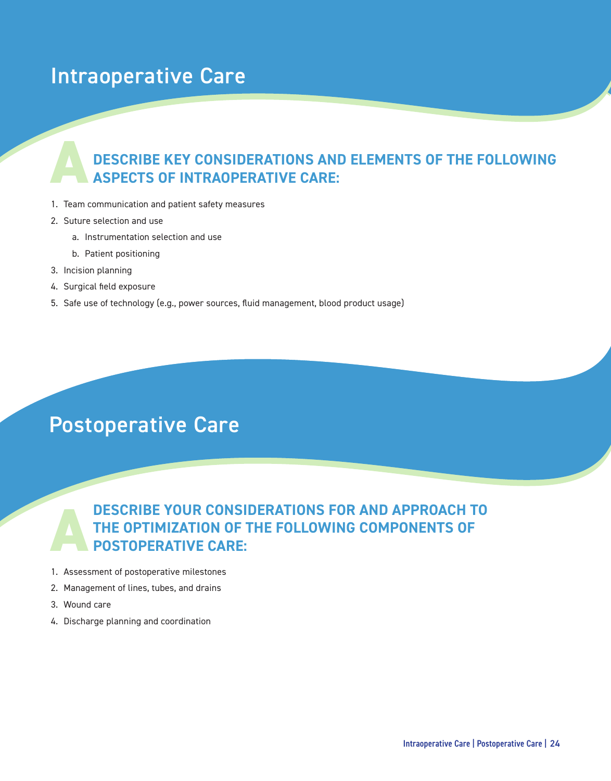### Intraoperative Care

# **DESCRIBE KEY CONSIDERATIONS AND ELEMENTS OF THE FOLLOWING AASPECTS OF INTRAOPERATIVE CARE:**

- 1. Team communication and patient safety measures
- 2. Suture selection and use
	- a. Instrumentation selection and use
	- b. Patient positioning
- 3. Incision planning
- 4. Surgical field exposure
- 5. Safe use of technology (e.g., power sources, fluid management, blood product usage)

### Postoperative Care

#### **A DESCRIBE YOUR CONSIDERATIONS FOR AND APPROACH TO THE OPTIMIZATION OF THE FOLLOWING COMPONENTS OF POSTOPERATIVE CARE:**

- 1. Assessment of postoperative milestones
- 2. Management of lines, tubes, and drains
- 3. Wound care
- 4. Discharge planning and coordination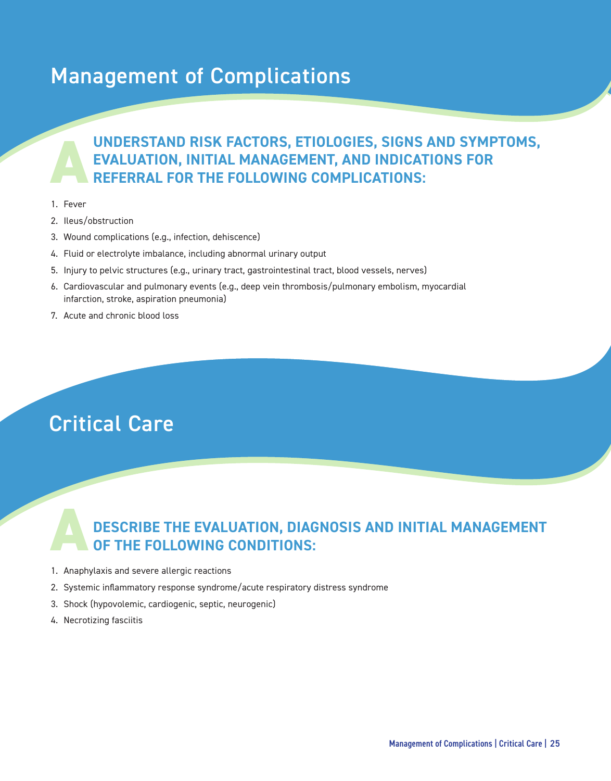### Management of Complications

## **UNDERSTAND RISK FACTORS, ETIOLOGIES, SIGNS AND SYMPTOMS, EVALUATION, INITIAL MANAGEMENT, AND INDICATIONS FOR REFERRAL FOR THE FOLLOWING COMPLICATIONS:**

- 1. Fever
- 2. Ileus/obstruction
- 3. Wound complications (e.g., infection, dehiscence)
- 4. Fluid or electrolyte imbalance, including abnormal urinary output
- 5. Injury to pelvic structures (e.g., urinary tract, gastrointestinal tract, blood vessels, nerves)
- 6. Cardiovascular and pulmonary events (e.g., deep vein thrombosis/pulmonary embolism, myocardial infarction, stroke, aspiration pneumonia)
- 7. Acute and chronic blood loss

### Critical Care

#### **A DESCRIBE THE EVALUATION, DIAGNOSIS AND INITIAL MANAGEMENT OF THE FOLLOWING CONDITIONS:**

- 1. Anaphylaxis and severe allergic reactions
- 2. Systemic inflammatory response syndrome/acute respiratory distress syndrome
- 3. Shock (hypovolemic, cardiogenic, septic, neurogenic)
- 4. Necrotizing fasciitis